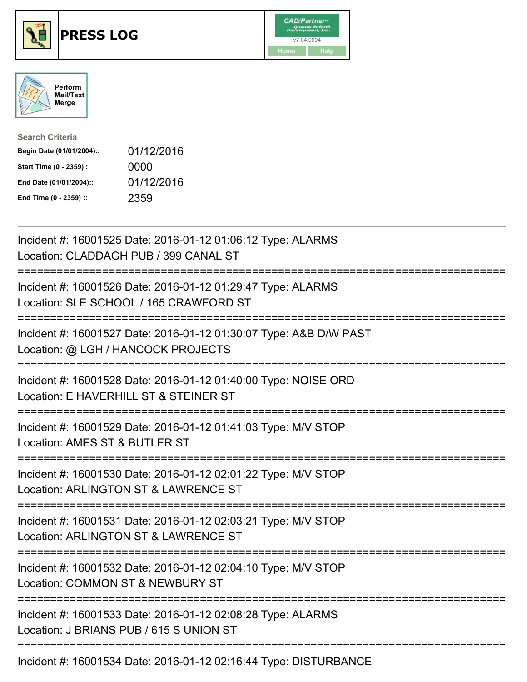





| <b>Search Criteria</b>    |            |
|---------------------------|------------|
| Begin Date (01/01/2004):: | 01/12/2016 |
| Start Time (0 - 2359) ::  | 0000       |
| End Date (01/01/2004)::   | 01/12/2016 |
| End Time (0 - 2359) ::    | 2359       |

| Incident #: 16001525 Date: 2016-01-12 01:06:12 Type: ALARMS<br>Location: CLADDAGH PUB / 399 CANAL ST                                     |
|------------------------------------------------------------------------------------------------------------------------------------------|
| Incident #: 16001526 Date: 2016-01-12 01:29:47 Type: ALARMS<br>Location: SLE SCHOOL / 165 CRAWFORD ST                                    |
| Incident #: 16001527 Date: 2016-01-12 01:30:07 Type: A&B D/W PAST<br>Location: @ LGH / HANCOCK PROJECTS<br>==================            |
| Incident #: 16001528 Date: 2016-01-12 01:40:00 Type: NOISE ORD<br>Location: E HAVERHILL ST & STEINER ST                                  |
| Incident #: 16001529 Date: 2016-01-12 01:41:03 Type: M/V STOP<br>Location: AMES ST & BUTLER ST                                           |
| Incident #: 16001530 Date: 2016-01-12 02:01:22 Type: M/V STOP<br>Location: ARLINGTON ST & LAWRENCE ST<br>===========================     |
| Incident #: 16001531 Date: 2016-01-12 02:03:21 Type: M/V STOP<br>Location: ARLINGTON ST & LAWRENCE ST<br>=============================== |
| Incident #: 16001532 Date: 2016-01-12 02:04:10 Type: M/V STOP<br>Location: COMMON ST & NEWBURY ST                                        |
| ============================<br>Incident #: 16001533 Date: 2016-01-12 02:08:28 Type: ALARMS<br>Location: J BRIANS PUB / 615 S UNION ST   |
| Incident #: 16001534 Date: 2016-01-12 02:16:44 Type: DISTURBANCE                                                                         |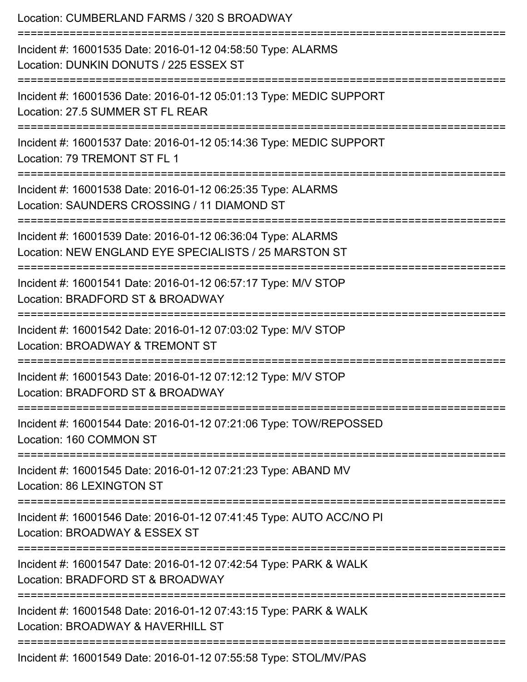| Location: CUMBERLAND FARMS / 320 S BROADWAY<br>:===================================                                             |
|---------------------------------------------------------------------------------------------------------------------------------|
| Incident #: 16001535 Date: 2016-01-12 04:58:50 Type: ALARMS<br>Location: DUNKIN DONUTS / 225 ESSEX ST<br>--------------------   |
| Incident #: 16001536 Date: 2016-01-12 05:01:13 Type: MEDIC SUPPORT<br>Location: 27.5 SUMMER ST FL REAR                          |
| Incident #: 16001537 Date: 2016-01-12 05:14:36 Type: MEDIC SUPPORT<br>Location: 79 TREMONT ST FL 1                              |
| Incident #: 16001538 Date: 2016-01-12 06:25:35 Type: ALARMS<br>Location: SAUNDERS CROSSING / 11 DIAMOND ST                      |
| Incident #: 16001539 Date: 2016-01-12 06:36:04 Type: ALARMS<br>Location: NEW ENGLAND EYE SPECIALISTS / 25 MARSTON ST            |
| .-------------------------<br>Incident #: 16001541 Date: 2016-01-12 06:57:17 Type: M/V STOP<br>Location: BRADFORD ST & BROADWAY |
| Incident #: 16001542 Date: 2016-01-12 07:03:02 Type: M/V STOP<br>Location: BROADWAY & TREMONT ST                                |
| Incident #: 16001543 Date: 2016-01-12 07:12:12 Type: M/V STOP<br>Location: BRADFORD ST & BROADWAY                               |
| Incident #: 16001544 Date: 2016-01-12 07:21:06 Type: TOW/REPOSSED<br>Location: 160 COMMON ST                                    |
| Incident #: 16001545 Date: 2016-01-12 07:21:23 Type: ABAND MV<br>Location: 86 LEXINGTON ST                                      |
| Incident #: 16001546 Date: 2016-01-12 07:41:45 Type: AUTO ACC/NO PI<br>Location: BROADWAY & ESSEX ST                            |
| Incident #: 16001547 Date: 2016-01-12 07:42:54 Type: PARK & WALK<br>Location: BRADFORD ST & BROADWAY                            |
| Incident #: 16001548 Date: 2016-01-12 07:43:15 Type: PARK & WALK<br>Location: BROADWAY & HAVERHILL ST                           |
| Incident #: 16001549 Date: 2016-01-12 07:55:58 Type: STOL/MV/PAS                                                                |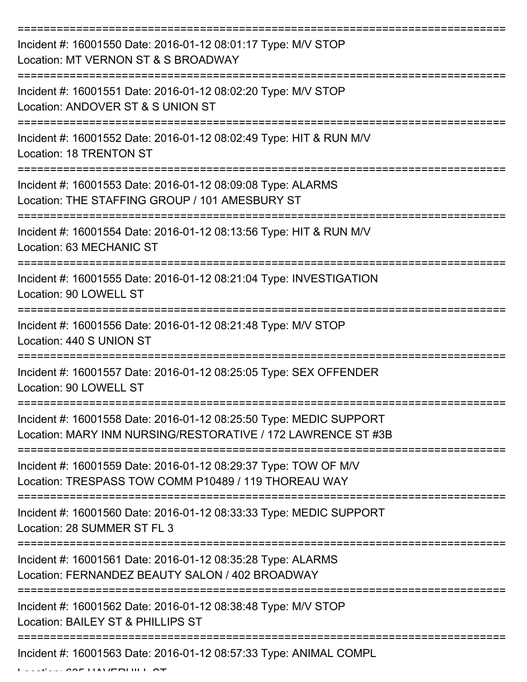| Incident #: 16001550 Date: 2016-01-12 08:01:17 Type: M/V STOP<br>Location: MT VERNON ST & S BROADWAY                               |
|------------------------------------------------------------------------------------------------------------------------------------|
| Incident #: 16001551 Date: 2016-01-12 08:02:20 Type: M/V STOP<br>Location: ANDOVER ST & S UNION ST                                 |
| Incident #: 16001552 Date: 2016-01-12 08:02:49 Type: HIT & RUN M/V<br><b>Location: 18 TRENTON ST</b>                               |
| Incident #: 16001553 Date: 2016-01-12 08:09:08 Type: ALARMS<br>Location: THE STAFFING GROUP / 101 AMESBURY ST                      |
| Incident #: 16001554 Date: 2016-01-12 08:13:56 Type: HIT & RUN M/V<br>Location: 63 MECHANIC ST                                     |
| Incident #: 16001555 Date: 2016-01-12 08:21:04 Type: INVESTIGATION<br>Location: 90 LOWELL ST                                       |
| Incident #: 16001556 Date: 2016-01-12 08:21:48 Type: M/V STOP<br>Location: 440 S UNION ST                                          |
| Incident #: 16001557 Date: 2016-01-12 08:25:05 Type: SEX OFFENDER<br>Location: 90 LOWELL ST                                        |
| Incident #: 16001558 Date: 2016-01-12 08:25:50 Type: MEDIC SUPPORT<br>Location: MARY INM NURSING/RESTORATIVE / 172 LAWRENCE ST #3B |
| Incident #: 16001559 Date: 2016-01-12 08:29:37 Type: TOW OF M/V<br>Location: TRESPASS TOW COMM P10489 / 119 THOREAU WAY            |
| Incident #: 16001560 Date: 2016-01-12 08:33:33 Type: MEDIC SUPPORT<br>Location: 28 SUMMER ST FL 3                                  |
| Incident #: 16001561 Date: 2016-01-12 08:35:28 Type: ALARMS<br>Location: FERNANDEZ BEAUTY SALON / 402 BROADWAY                     |
| Incident #: 16001562 Date: 2016-01-12 08:38:48 Type: M/V STOP<br>Location: BAILEY ST & PHILLIPS ST                                 |
| Incident #: 16001563 Date: 2016-01-12 08:57:33 Type: ANIMAL COMPL                                                                  |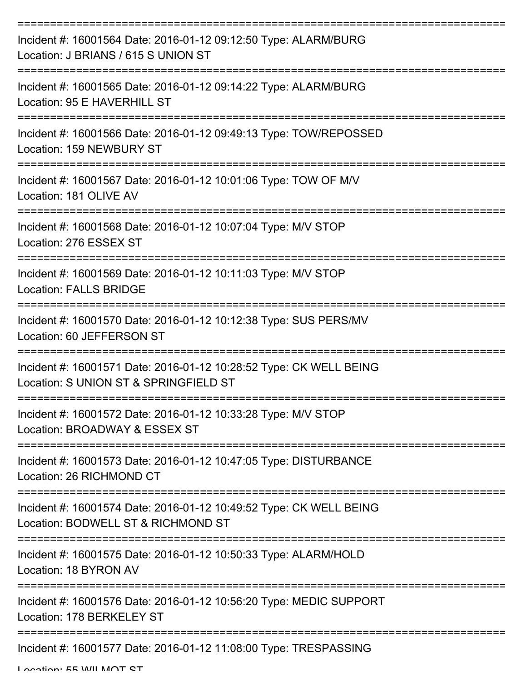| Incident #: 16001564 Date: 2016-01-12 09:12:50 Type: ALARM/BURG<br>Location: J BRIANS / 615 S UNION ST      |
|-------------------------------------------------------------------------------------------------------------|
| Incident #: 16001565 Date: 2016-01-12 09:14:22 Type: ALARM/BURG<br>Location: 95 E HAVERHILL ST              |
| Incident #: 16001566 Date: 2016-01-12 09:49:13 Type: TOW/REPOSSED<br>Location: 159 NEWBURY ST               |
| Incident #: 16001567 Date: 2016-01-12 10:01:06 Type: TOW OF M/V<br>Location: 181 OLIVE AV                   |
| Incident #: 16001568 Date: 2016-01-12 10:07:04 Type: M/V STOP<br>Location: 276 ESSEX ST                     |
| Incident #: 16001569 Date: 2016-01-12 10:11:03 Type: M/V STOP<br><b>Location: FALLS BRIDGE</b>              |
| Incident #: 16001570 Date: 2016-01-12 10:12:38 Type: SUS PERS/MV<br>Location: 60 JEFFERSON ST               |
| Incident #: 16001571 Date: 2016-01-12 10:28:52 Type: CK WELL BEING<br>Location: S UNION ST & SPRINGFIELD ST |
| Incident #: 16001572 Date: 2016-01-12 10:33:28 Type: M/V STOP<br>Location: BROADWAY & ESSEX ST              |
| Incident #: 16001573 Date: 2016-01-12 10:47:05 Type: DISTURBANCE<br>Location: 26 RICHMOND CT                |
| Incident #: 16001574 Date: 2016-01-12 10:49:52 Type: CK WELL BEING<br>Location: BODWELL ST & RICHMOND ST    |
| Incident #: 16001575 Date: 2016-01-12 10:50:33 Type: ALARM/HOLD<br>Location: 18 BYRON AV                    |
| Incident #: 16001576 Date: 2016-01-12 10:56:20 Type: MEDIC SUPPORT<br>Location: 178 BERKELEY ST             |
| Incident #: 16001577 Date: 2016-01-12 11:08:00 Type: TRESPASSING                                            |

Location: EE WILLMOT CT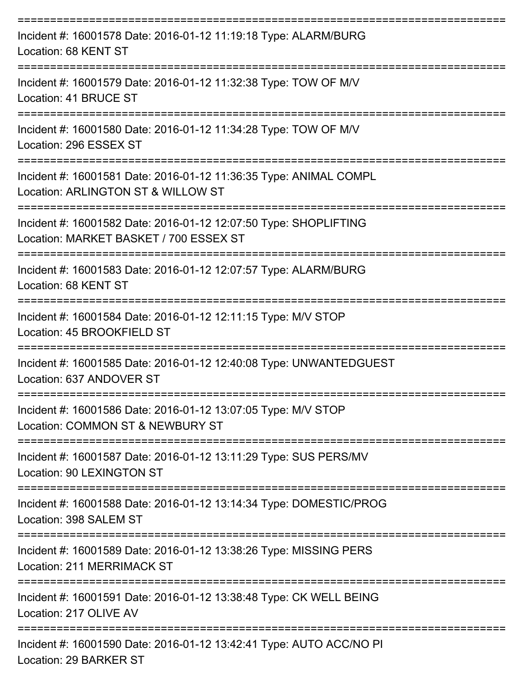| Incident #: 16001578 Date: 2016-01-12 11:19:18 Type: ALARM/BURG<br>Location: 68 KENT ST                                               |
|---------------------------------------------------------------------------------------------------------------------------------------|
| Incident #: 16001579 Date: 2016-01-12 11:32:38 Type: TOW OF M/V<br>Location: 41 BRUCE ST                                              |
| Incident #: 16001580 Date: 2016-01-12 11:34:28 Type: TOW OF M/V<br>Location: 296 ESSEX ST                                             |
| Incident #: 16001581 Date: 2016-01-12 11:36:35 Type: ANIMAL COMPL<br>Location: ARLINGTON ST & WILLOW ST                               |
| Incident #: 16001582 Date: 2016-01-12 12:07:50 Type: SHOPLIFTING<br>Location: MARKET BASKET / 700 ESSEX ST                            |
| Incident #: 16001583 Date: 2016-01-12 12:07:57 Type: ALARM/BURG<br>Location: 68 KENT ST                                               |
| Incident #: 16001584 Date: 2016-01-12 12:11:15 Type: M/V STOP<br>Location: 45 BROOKFIELD ST                                           |
| Incident #: 16001585 Date: 2016-01-12 12:40:08 Type: UNWANTEDGUEST<br>Location: 637 ANDOVER ST                                        |
| Incident #: 16001586 Date: 2016-01-12 13:07:05 Type: M/V STOP<br>Location: COMMON ST & NEWBURY ST                                     |
| Incident #: 16001587 Date: 2016-01-12 13:11:29 Type: SUS PERS/MV<br>Location: 90 LEXINGTON ST                                         |
| Incident #: 16001588 Date: 2016-01-12 13:14:34 Type: DOMESTIC/PROG<br>Location: 398 SALEM ST                                          |
| ===========================<br>Incident #: 16001589 Date: 2016-01-12 13:38:26 Type: MISSING PERS<br><b>Location: 211 MERRIMACK ST</b> |
| Incident #: 16001591 Date: 2016-01-12 13:38:48 Type: CK WELL BEING<br>Location: 217 OLIVE AV                                          |
| Incident #: 16001590 Date: 2016-01-12 13:42:41 Type: AUTO ACC/NO PI<br>Location: 29 BARKER ST                                         |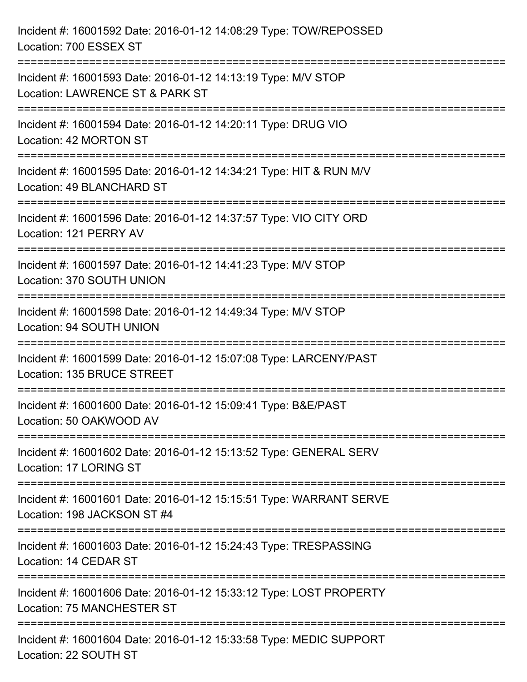| Incident #: 16001592 Date: 2016-01-12 14:08:29 Type: TOW/REPOSSED<br>Location: 700 ESSEX ST                              |
|--------------------------------------------------------------------------------------------------------------------------|
| Incident #: 16001593 Date: 2016-01-12 14:13:19 Type: M/V STOP<br>Location: LAWRENCE ST & PARK ST                         |
| Incident #: 16001594 Date: 2016-01-12 14:20:11 Type: DRUG VIO<br>Location: 42 MORTON ST<br>:============================ |
| Incident #: 16001595 Date: 2016-01-12 14:34:21 Type: HIT & RUN M/V<br>Location: 49 BLANCHARD ST                          |
| Incident #: 16001596 Date: 2016-01-12 14:37:57 Type: VIO CITY ORD<br>Location: 121 PERRY AV                              |
| Incident #: 16001597 Date: 2016-01-12 14:41:23 Type: M/V STOP<br>Location: 370 SOUTH UNION                               |
| Incident #: 16001598 Date: 2016-01-12 14:49:34 Type: M/V STOP<br>Location: 94 SOUTH UNION                                |
| Incident #: 16001599 Date: 2016-01-12 15:07:08 Type: LARCENY/PAST<br>Location: 135 BRUCE STREET                          |
| Incident #: 16001600 Date: 2016-01-12 15:09:41 Type: B&E/PAST<br>Location: 50 OAKWOOD AV                                 |
| Incident #: 16001602 Date: 2016-01-12 15:13:52 Type: GENERAL SERV<br>Location: 17 LORING ST                              |
| Incident #: 16001601 Date: 2016-01-12 15:15:51 Type: WARRANT SERVE<br>Location: 198 JACKSON ST #4                        |
| Incident #: 16001603 Date: 2016-01-12 15:24:43 Type: TRESPASSING<br>Location: 14 CEDAR ST                                |
| Incident #: 16001606 Date: 2016-01-12 15:33:12 Type: LOST PROPERTY<br>Location: 75 MANCHESTER ST                         |
| Incident #: 16001604 Date: 2016-01-12 15:33:58 Type: MEDIC SUPPORT<br>Location: 22 SOUTH ST                              |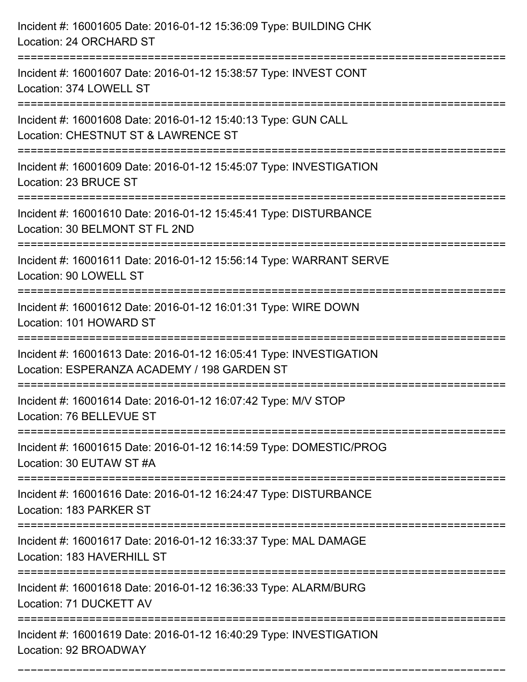| Incident #: 16001605 Date: 2016-01-12 15:36:09 Type: BUILDING CHK<br>Location: 24 ORCHARD ST                                             |
|------------------------------------------------------------------------------------------------------------------------------------------|
| Incident #: 16001607 Date: 2016-01-12 15:38:57 Type: INVEST CONT<br>Location: 374 LOWELL ST                                              |
| Incident #: 16001608 Date: 2016-01-12 15:40:13 Type: GUN CALL<br>Location: CHESTNUT ST & LAWRENCE ST<br>================================ |
| Incident #: 16001609 Date: 2016-01-12 15:45:07 Type: INVESTIGATION<br>Location: 23 BRUCE ST                                              |
| Incident #: 16001610 Date: 2016-01-12 15:45:41 Type: DISTURBANCE<br>Location: 30 BELMONT ST FL 2ND                                       |
| Incident #: 16001611 Date: 2016-01-12 15:56:14 Type: WARRANT SERVE<br>Location: 90 LOWELL ST                                             |
| Incident #: 16001612 Date: 2016-01-12 16:01:31 Type: WIRE DOWN<br>Location: 101 HOWARD ST                                                |
| Incident #: 16001613 Date: 2016-01-12 16:05:41 Type: INVESTIGATION<br>Location: ESPERANZA ACADEMY / 198 GARDEN ST                        |
| Incident #: 16001614 Date: 2016-01-12 16:07:42 Type: M/V STOP<br>Location: 76 BELLEVUE ST                                                |
| Incident #: 16001615 Date: 2016-01-12 16:14:59 Type: DOMESTIC/PROG<br>Location: 30 EUTAW ST #A                                           |
| Incident #: 16001616 Date: 2016-01-12 16:24:47 Type: DISTURBANCE<br>Location: 183 PARKER ST                                              |
| Incident #: 16001617 Date: 2016-01-12 16:33:37 Type: MAL DAMAGE<br>Location: 183 HAVERHILL ST                                            |
| Incident #: 16001618 Date: 2016-01-12 16:36:33 Type: ALARM/BURG<br>Location: 71 DUCKETT AV                                               |
| Incident #: 16001619 Date: 2016-01-12 16:40:29 Type: INVESTIGATION<br>Location: 92 BROADWAY                                              |

===========================================================================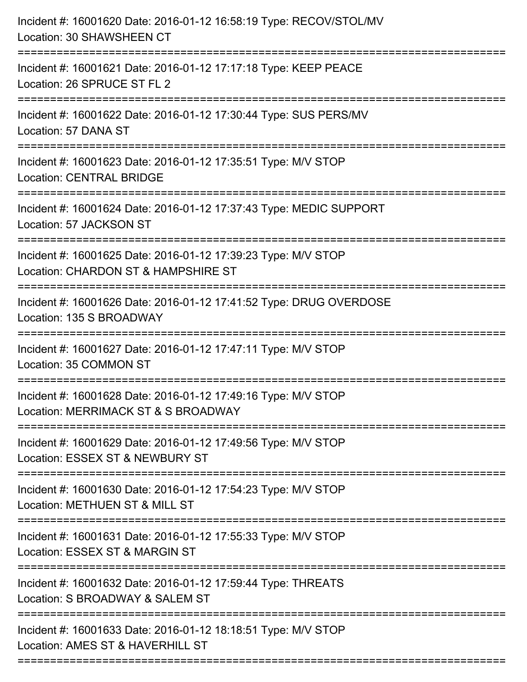| Incident #: 16001620 Date: 2016-01-12 16:58:19 Type: RECOV/STOL/MV<br>Location: 30 SHAWSHEEN CT      |
|------------------------------------------------------------------------------------------------------|
| Incident #: 16001621 Date: 2016-01-12 17:17:18 Type: KEEP PEACE<br>Location: 26 SPRUCE ST FL 2       |
| Incident #: 16001622 Date: 2016-01-12 17:30:44 Type: SUS PERS/MV<br>Location: 57 DANA ST             |
| Incident #: 16001623 Date: 2016-01-12 17:35:51 Type: M/V STOP<br><b>Location: CENTRAL BRIDGE</b>     |
| Incident #: 16001624 Date: 2016-01-12 17:37:43 Type: MEDIC SUPPORT<br>Location: 57 JACKSON ST        |
| Incident #: 16001625 Date: 2016-01-12 17:39:23 Type: M/V STOP<br>Location: CHARDON ST & HAMPSHIRE ST |
| Incident #: 16001626 Date: 2016-01-12 17:41:52 Type: DRUG OVERDOSE<br>Location: 135 S BROADWAY       |
| Incident #: 16001627 Date: 2016-01-12 17:47:11 Type: M/V STOP<br>Location: 35 COMMON ST              |
| Incident #: 16001628 Date: 2016-01-12 17:49:16 Type: M/V STOP<br>Location: MERRIMACK ST & S BROADWAY |
| Incident #: 16001629 Date: 2016-01-12 17:49:56 Type: M/V STOP<br>Location: ESSEX ST & NEWBURY ST     |
| Incident #: 16001630 Date: 2016-01-12 17:54:23 Type: M/V STOP<br>Location: METHUEN ST & MILL ST      |
| Incident #: 16001631 Date: 2016-01-12 17:55:33 Type: M/V STOP<br>Location: ESSEX ST & MARGIN ST      |
| Incident #: 16001632 Date: 2016-01-12 17:59:44 Type: THREATS<br>Location: S BROADWAY & SALEM ST      |
| Incident #: 16001633 Date: 2016-01-12 18:18:51 Type: M/V STOP<br>Location: AMES ST & HAVERHILL ST    |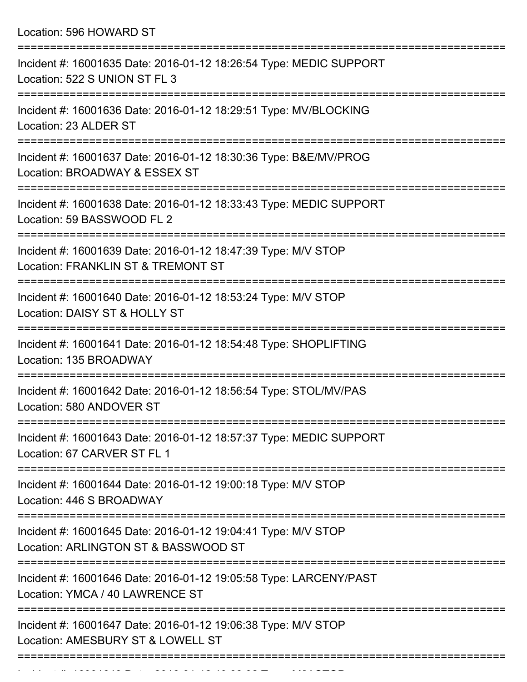Location: 596 HOWARD ST

| Incident #: 16001635 Date: 2016-01-12 18:26:54 Type: MEDIC SUPPORT<br>Location: 522 S UNION ST FL 3   |
|-------------------------------------------------------------------------------------------------------|
| Incident #: 16001636 Date: 2016-01-12 18:29:51 Type: MV/BLOCKING<br>Location: 23 ALDER ST             |
| Incident #: 16001637 Date: 2016-01-12 18:30:36 Type: B&E/MV/PROG<br>Location: BROADWAY & ESSEX ST     |
| Incident #: 16001638 Date: 2016-01-12 18:33:43 Type: MEDIC SUPPORT<br>Location: 59 BASSWOOD FL 2      |
| Incident #: 16001639 Date: 2016-01-12 18:47:39 Type: M/V STOP<br>Location: FRANKLIN ST & TREMONT ST   |
| Incident #: 16001640 Date: 2016-01-12 18:53:24 Type: M/V STOP<br>Location: DAISY ST & HOLLY ST        |
| Incident #: 16001641 Date: 2016-01-12 18:54:48 Type: SHOPLIFTING<br>Location: 135 BROADWAY            |
| Incident #: 16001642 Date: 2016-01-12 18:56:54 Type: STOL/MV/PAS<br>Location: 580 ANDOVER ST          |
| Incident #: 16001643 Date: 2016-01-12 18:57:37 Type: MEDIC SUPPORT<br>Location: 67 CARVER ST FL 1     |
| Incident #: 16001644 Date: 2016-01-12 19:00:18 Type: M/V STOP<br>Location: 446 S BROADWAY             |
| Incident #: 16001645 Date: 2016-01-12 19:04:41 Type: M/V STOP<br>Location: ARLINGTON ST & BASSWOOD ST |
| Incident #: 16001646 Date: 2016-01-12 19:05:58 Type: LARCENY/PAST<br>Location: YMCA / 40 LAWRENCE ST  |
| Incident #: 16001647 Date: 2016-01-12 19:06:38 Type: M/V STOP<br>Location: AMESBURY ST & LOWELL ST    |
|                                                                                                       |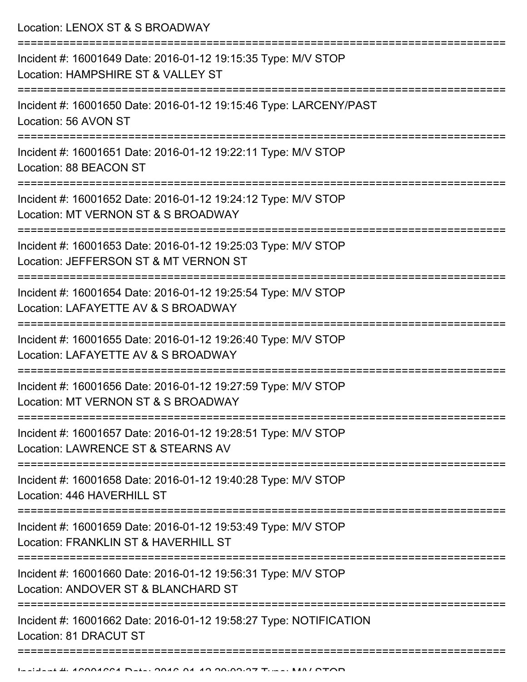Location: LENOX ST & S BROADWAY

| Incident #: 16001649 Date: 2016-01-12 19:15:35 Type: M/V STOP<br>Location: HAMPSHIRE ST & VALLEY ST    |
|--------------------------------------------------------------------------------------------------------|
| Incident #: 16001650 Date: 2016-01-12 19:15:46 Type: LARCENY/PAST<br>Location: 56 AVON ST              |
| Incident #: 16001651 Date: 2016-01-12 19:22:11 Type: M/V STOP<br>Location: 88 BEACON ST                |
| Incident #: 16001652 Date: 2016-01-12 19:24:12 Type: M/V STOP<br>Location: MT VERNON ST & S BROADWAY   |
| Incident #: 16001653 Date: 2016-01-12 19:25:03 Type: M/V STOP<br>Location: JEFFERSON ST & MT VERNON ST |
| Incident #: 16001654 Date: 2016-01-12 19:25:54 Type: M/V STOP<br>Location: LAFAYETTE AV & S BROADWAY   |
| Incident #: 16001655 Date: 2016-01-12 19:26:40 Type: M/V STOP<br>Location: LAFAYETTE AV & S BROADWAY   |
| Incident #: 16001656 Date: 2016-01-12 19:27:59 Type: M/V STOP<br>Location: MT VERNON ST & S BROADWAY   |
| Incident #: 16001657 Date: 2016-01-12 19:28:51 Type: M/V STOP<br>Location: LAWRENCE ST & STEARNS AV    |
| Incident #: 16001658 Date: 2016-01-12 19:40:28 Type: M/V STOP<br>Location: 446 HAVERHILL ST            |
| Incident #: 16001659 Date: 2016-01-12 19:53:49 Type: M/V STOP<br>Location: FRANKLIN ST & HAVERHILL ST  |
| Incident #: 16001660 Date: 2016-01-12 19:56:31 Type: M/V STOP<br>Location: ANDOVER ST & BLANCHARD ST   |
| Incident #: 16001662 Date: 2016-01-12 19:58:27 Type: NOTIFICATION<br>Location: 81 DRACUT ST            |
|                                                                                                        |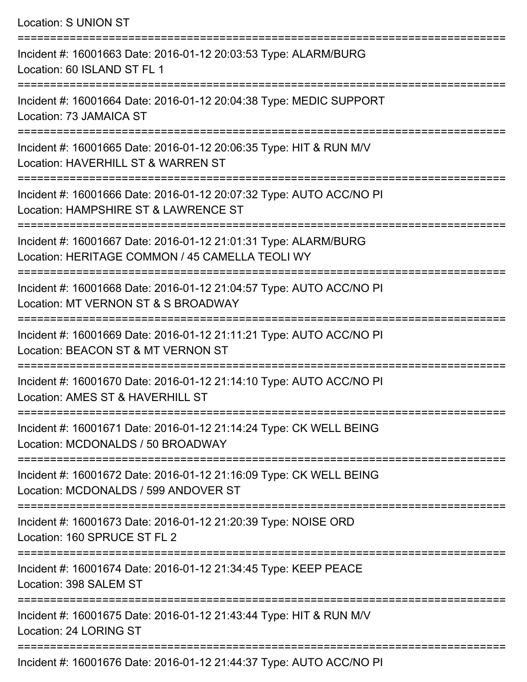Location: S UNION ST =========================================================================== Incident #: 16001663 Date: 2016-01-12 20:03:53 Type: ALARM/BURG Location: 60 ISLAND ST FL 1 =========================================================================== Incident #: 16001664 Date: 2016-01-12 20:04:38 Type: MEDIC SUPPORT Location: 73 JAMAICA ST =========================================================================== Incident #: 16001665 Date: 2016-01-12 20:06:35 Type: HIT & RUN M/V Location: HAVERHILL ST & WARREN ST =========================================================================== Incident #: 16001666 Date: 2016-01-12 20:07:32 Type: AUTO ACC/NO PI Location: HAMPSHIRE ST & LAWRENCE ST =========================================================================== Incident #: 16001667 Date: 2016-01-12 21:01:31 Type: ALARM/BURG Location: HERITAGE COMMON / 45 CAMELLA TEOLI WY =========================================================================== Incident #: 16001668 Date: 2016-01-12 21:04:57 Type: AUTO ACC/NO PI Location: MT VERNON ST & S BROADWAY =========================================================================== Incident #: 16001669 Date: 2016-01-12 21:11:21 Type: AUTO ACC/NO PI Location: BEACON ST & MT VERNON ST =========================================================================== Incident #: 16001670 Date: 2016-01-12 21:14:10 Type: AUTO ACC/NO PI Location: AMES ST & HAVERHILL ST =========================================================================== Incident #: 16001671 Date: 2016-01-12 21:14:24 Type: CK WELL BEING Location: MCDONALDS / 50 BROADWAY =========================================================================== Incident #: 16001672 Date: 2016-01-12 21:16:09 Type: CK WELL BEING Location: MCDONALDS / 599 ANDOVER ST =========================================================================== Incident #: 16001673 Date: 2016-01-12 21:20:39 Type: NOISE ORD Location: 160 SPRUCE ST FL 2 =========================================================================== Incident #: 16001674 Date: 2016-01-12 21:34:45 Type: KEEP PEACE Location: 398 SALEM ST =========================================================================== Incident #: 16001675 Date: 2016-01-12 21:43:44 Type: HIT & RUN M/V Location: 24 LORING ST ===========================================================================

Incident #: 16001676 Date: 2016-01-12 21:44:37 Type: AUTO ACC/NO PI